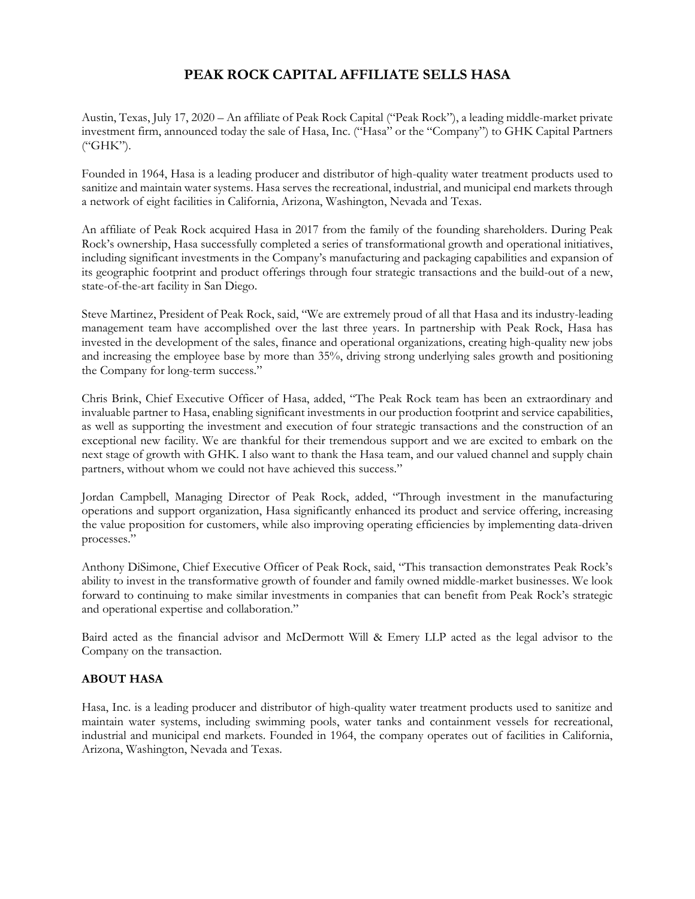## **PEAK ROCK CAPITAL AFFILIATE SELLS HASA**

Austin, Texas, July 17, 2020 – An affiliate of Peak Rock Capital ("Peak Rock"), a leading middle-market private investment firm, announced today the sale of Hasa, Inc. ("Hasa" or the "Company") to GHK Capital Partners ("GHK").

Founded in 1964, Hasa is a leading producer and distributor of high-quality water treatment products used to sanitize and maintain water systems. Hasa serves the recreational, industrial, and municipal end markets through a network of eight facilities in California, Arizona, Washington, Nevada and Texas.

An affiliate of Peak Rock acquired Hasa in 2017 from the family of the founding shareholders. During Peak Rock's ownership, Hasa successfully completed a series of transformational growth and operational initiatives, including significant investments in the Company's manufacturing and packaging capabilities and expansion of its geographic footprint and product offerings through four strategic transactions and the build-out of a new, state-of-the-art facility in San Diego.

Steve Martinez, President of Peak Rock, said, "We are extremely proud of all that Hasa and its industry-leading management team have accomplished over the last three years. In partnership with Peak Rock, Hasa has invested in the development of the sales, finance and operational organizations, creating high-quality new jobs and increasing the employee base by more than 35%, driving strong underlying sales growth and positioning the Company for long-term success."

Chris Brink, Chief Executive Officer of Hasa, added, "The Peak Rock team has been an extraordinary and invaluable partner to Hasa, enabling significant investments in our production footprint and service capabilities, as well as supporting the investment and execution of four strategic transactions and the construction of an exceptional new facility. We are thankful for their tremendous support and we are excited to embark on the next stage of growth with GHK. I also want to thank the Hasa team, and our valued channel and supply chain partners, without whom we could not have achieved this success."

Jordan Campbell, Managing Director of Peak Rock, added, "Through investment in the manufacturing operations and support organization, Hasa significantly enhanced its product and service offering, increasing the value proposition for customers, while also improving operating efficiencies by implementing data-driven processes."

Anthony DiSimone, Chief Executive Officer of Peak Rock, said, "This transaction demonstrates Peak Rock's ability to invest in the transformative growth of founder and family owned middle-market businesses. We look forward to continuing to make similar investments in companies that can benefit from Peak Rock's strategic and operational expertise and collaboration."

Baird acted as the financial advisor and McDermott Will & Emery LLP acted as the legal advisor to the Company on the transaction.

## **ABOUT HASA**

Hasa, Inc. is a leading producer and distributor of high-quality water treatment products used to sanitize and maintain water systems, including swimming pools, water tanks and containment vessels for recreational, industrial and municipal end markets. Founded in 1964, the company operates out of facilities in California, Arizona, Washington, Nevada and Texas.